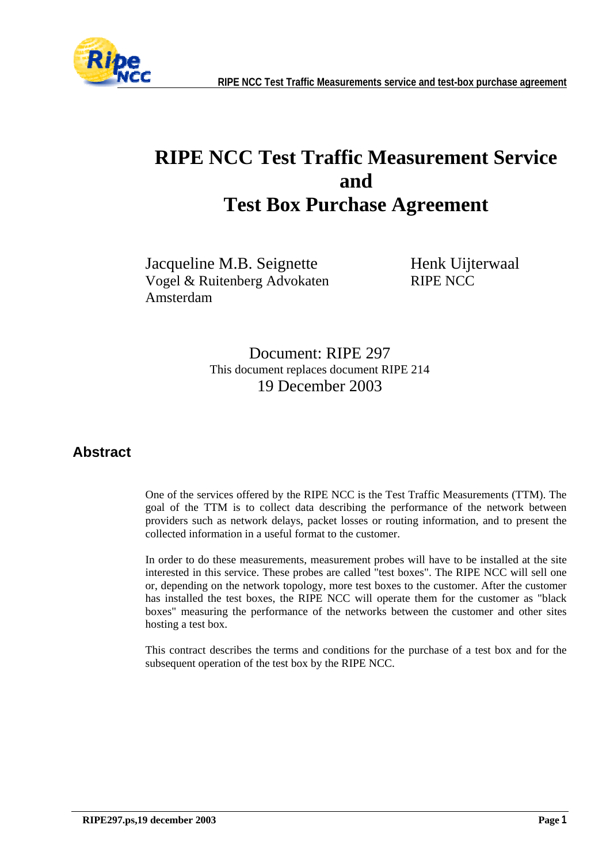

# **RIPE NCC Test Traffic Measurement Service and Test Box Purchase Agreement**

Jacqueline M.B. Seignette Vogel & Ruitenberg Advokaten Amsterdam

Henk Uijterwaal RIPE NCC

Document: RIPE 297 This document replaces document RIPE 214 19 December 2003

#### **Abstract**

One of the services offered by the RIPE NCC is the Test Traffic Measurements (TTM). The goal of the TTM is to collect data describing the performance of the network between providers such as network delays, packet losses or routing information, and to present the collected information in a useful format to the customer.

In order to do these measurements, measurement probes will have to be installed at the site interested in this service. These probes are called "test boxes". The RIPE NCC will sell one or, depending on the network topology, more test boxes to the customer. After the customer has installed the test boxes, the RIPE NCC will operate them for the customer as "black boxes" measuring the performance of the networks between the customer and other sites hosting a test box.

This contract describes the terms and conditions for the purchase of a test box and for the subsequent operation of the test box by the RIPE NCC.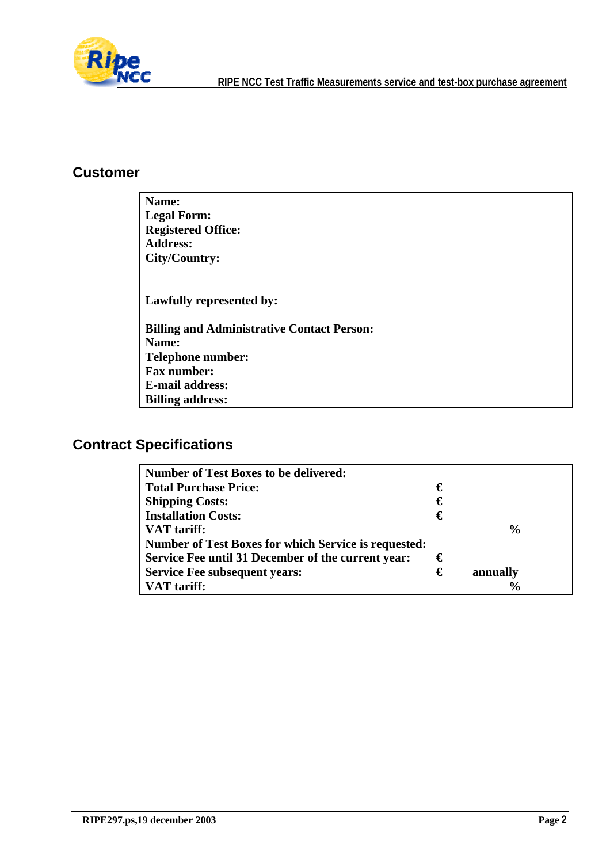

#### **Customer**

| Name:                                             |
|---------------------------------------------------|
| <b>Legal Form:</b>                                |
| <b>Registered Office:</b>                         |
| <b>Address:</b>                                   |
| City/Country:                                     |
|                                                   |
| Lawfully represented by:                          |
| <b>Billing and Administrative Contact Person:</b> |
| Name:                                             |
| <b>Telephone number:</b>                          |
| <b>Fax number:</b>                                |
| <b>E-mail address:</b>                            |
| <b>Billing address:</b>                           |

# **Contract Specifications**

| <b>Number of Test Boxes to be delivered:</b>                |   |               |
|-------------------------------------------------------------|---|---------------|
| <b>Total Purchase Price:</b>                                | € |               |
| <b>Shipping Costs:</b>                                      | € |               |
| <b>Installation Costs:</b>                                  | € |               |
| <b>VAT</b> tariff:                                          |   | $\frac{0}{0}$ |
| <b>Number of Test Boxes for which Service is requested:</b> |   |               |
| Service Fee until 31 December of the current year:          | € |               |
| <b>Service Fee subsequent years:</b>                        | € | annually      |
| <b>VAT</b> tariff:                                          |   | $\frac{6}{9}$ |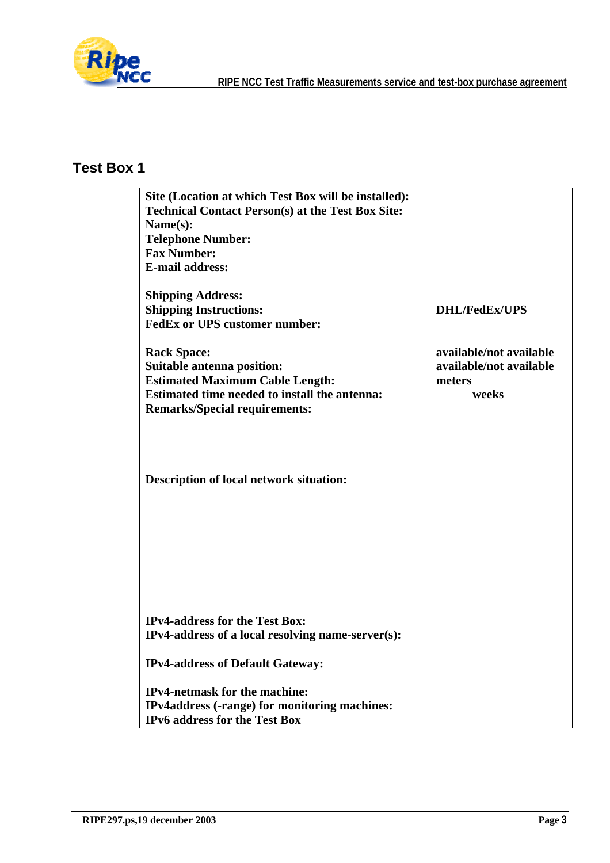

# **Test Box 1**

| Site (Location at which Test Box will be installed):     |                         |
|----------------------------------------------------------|-------------------------|
| <b>Technical Contact Person(s) at the Test Box Site:</b> |                         |
| Name(s):                                                 |                         |
| <b>Telephone Number:</b>                                 |                         |
| <b>Fax Number:</b>                                       |                         |
| <b>E-mail address:</b>                                   |                         |
| <b>Shipping Address:</b>                                 |                         |
| <b>Shipping Instructions:</b>                            | <b>DHL/FedEx/UPS</b>    |
| <b>FedEx or UPS customer number:</b>                     |                         |
| <b>Rack Space:</b>                                       | available/not available |
| <b>Suitable antenna position:</b>                        | available/not available |
| <b>Estimated Maximum Cable Length:</b>                   | meters                  |
| Estimated time needed to install the antenna:            | weeks                   |
| <b>Remarks/Special requirements:</b>                     |                         |
|                                                          |                         |
|                                                          |                         |
|                                                          |                         |
|                                                          |                         |
| <b>Description of local network situation:</b>           |                         |
|                                                          |                         |
|                                                          |                         |
|                                                          |                         |
|                                                          |                         |
|                                                          |                         |
|                                                          |                         |
|                                                          |                         |
|                                                          |                         |
|                                                          |                         |
| <b>IPv4-address for the Test Box:</b>                    |                         |
| IPv4-address of a local resolving name-server(s):        |                         |
|                                                          |                         |
| <b>IPv4-address of Default Gateway:</b>                  |                         |
| <b>IPv4-netmask for the machine:</b>                     |                         |
| IPv4address (-range) for monitoring machines:            |                         |
| <b>IPv6</b> address for the Test Box                     |                         |
|                                                          |                         |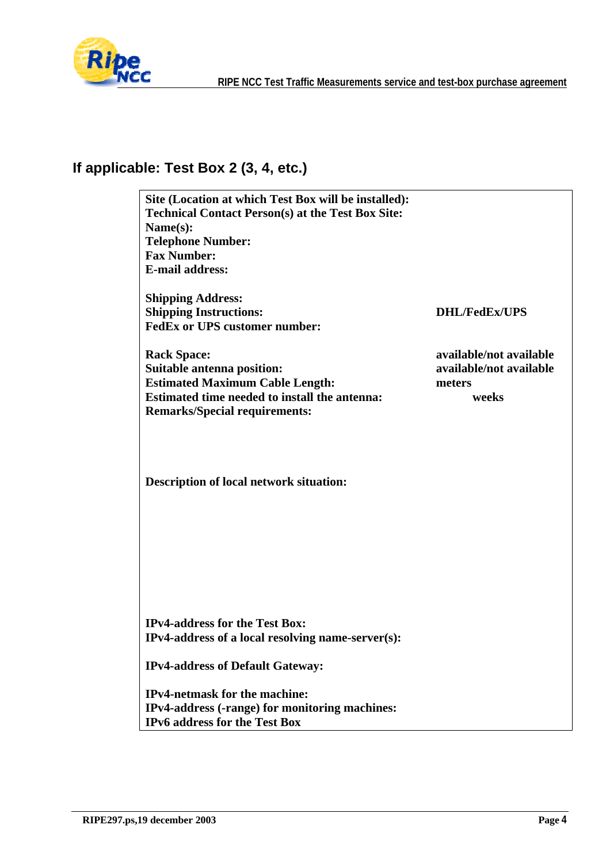

# **If applicable: Test Box 2 (3, 4, etc.)**

| Site (Location at which Test Box will be installed):                                       |                         |
|--------------------------------------------------------------------------------------------|-------------------------|
| <b>Technical Contact Person(s) at the Test Box Site:</b>                                   |                         |
| Name(s):                                                                                   |                         |
| <b>Telephone Number:</b>                                                                   |                         |
| <b>Fax Number:</b>                                                                         |                         |
| <b>E-mail address:</b>                                                                     |                         |
| <b>Shipping Address:</b>                                                                   |                         |
| <b>Shipping Instructions:</b>                                                              | <b>DHL/FedEx/UPS</b>    |
| <b>FedEx or UPS customer number:</b>                                                       |                         |
| <b>Rack Space:</b>                                                                         | available/not available |
| <b>Suitable antenna position:</b>                                                          | available/not available |
| <b>Estimated Maximum Cable Length:</b>                                                     | meters                  |
| Estimated time needed to install the antenna:                                              | weeks                   |
| <b>Remarks/Special requirements:</b>                                                       |                         |
| <b>Description of local network situation:</b>                                             |                         |
| <b>IPv4-address for the Test Box:</b><br>IPv4-address of a local resolving name-server(s): |                         |
| <b>IPv4-address of Default Gateway:</b>                                                    |                         |
| <b>IPv4-netmask for the machine:</b>                                                       |                         |
| IPv4-address (-range) for monitoring machines:                                             |                         |
| <b>IPv6</b> address for the Test Box                                                       |                         |
|                                                                                            |                         |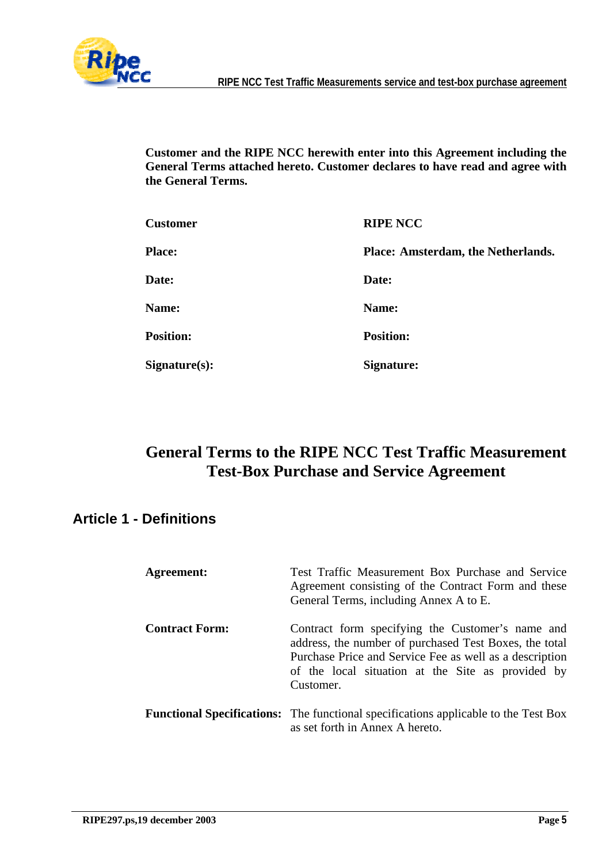

**Customer and the RIPE NCC herewith enter into this Agreement including the General Terms attached hereto. Customer declares to have read and agree with the General Terms.** 

| <b>Customer</b>  | <b>RIPE NCC</b>                    |
|------------------|------------------------------------|
| <b>Place:</b>    | Place: Amsterdam, the Netherlands. |
| Date:            | Date:                              |
| <b>Name:</b>     | Name:                              |
| <b>Position:</b> | <b>Position:</b>                   |
| Signature(s):    | <b>Signature:</b>                  |

# **General Terms to the RIPE NCC Test Traffic Measurement Test-Box Purchase and Service Agreement**

### **Article 1 - Definitions**

| Agreement:            | Test Traffic Measurement Box Purchase and Service<br>Agreement consisting of the Contract Form and these<br>General Terms, including Annex A to E.                                                                                      |
|-----------------------|-----------------------------------------------------------------------------------------------------------------------------------------------------------------------------------------------------------------------------------------|
| <b>Contract Form:</b> | Contract form specifying the Customer's name and<br>address, the number of purchased Test Boxes, the total<br>Purchase Price and Service Fee as well as a description<br>of the local situation at the Site as provided by<br>Customer. |
|                       | <b>Functional Specifications:</b> The functional specifications applicable to the Test Box<br>as set forth in Annex A hereto.                                                                                                           |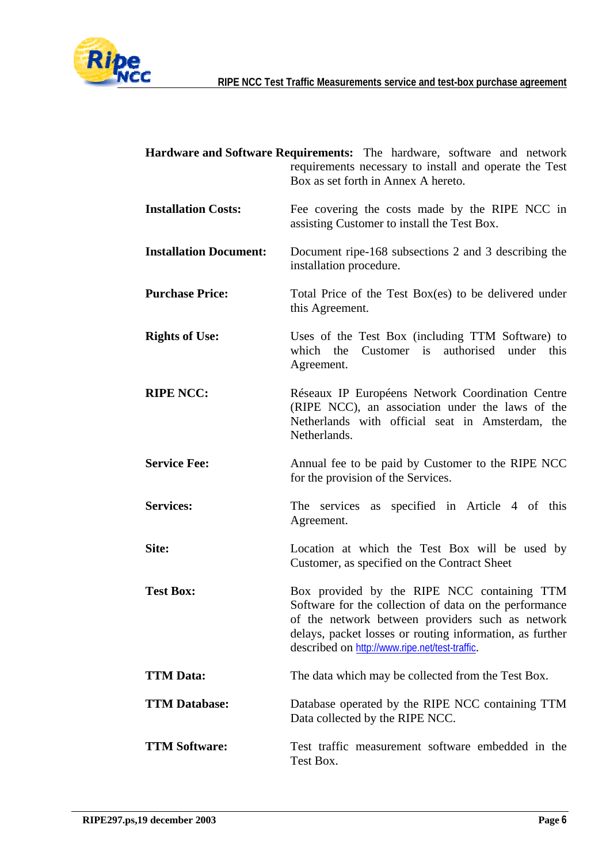

|                               | Hardware and Software Requirements: The hardware, software and network<br>requirements necessary to install and operate the Test<br>Box as set forth in Annex A hereto.                                                                                                 |
|-------------------------------|-------------------------------------------------------------------------------------------------------------------------------------------------------------------------------------------------------------------------------------------------------------------------|
| <b>Installation Costs:</b>    | Fee covering the costs made by the RIPE NCC in<br>assisting Customer to install the Test Box.                                                                                                                                                                           |
| <b>Installation Document:</b> | Document ripe-168 subsections 2 and 3 describing the<br>installation procedure.                                                                                                                                                                                         |
| <b>Purchase Price:</b>        | Total Price of the Test Box(es) to be delivered under<br>this Agreement.                                                                                                                                                                                                |
| <b>Rights of Use:</b>         | Uses of the Test Box (including TTM Software) to<br>Customer is authorised under this<br>which the<br>Agreement.                                                                                                                                                        |
| <b>RIPE NCC:</b>              | Réseaux IP Européens Network Coordination Centre<br>(RIPE NCC), an association under the laws of the<br>Netherlands with official seat in Amsterdam, the<br>Netherlands.                                                                                                |
| <b>Service Fee:</b>           | Annual fee to be paid by Customer to the RIPE NCC<br>for the provision of the Services.                                                                                                                                                                                 |
| <b>Services:</b>              | The services as specified in Article 4 of this<br>Agreement.                                                                                                                                                                                                            |
| Site:                         | Location at which the Test Box will be used by<br>Customer, as specified on the Contract Sheet                                                                                                                                                                          |
| <b>Test Box:</b>              | Box provided by the RIPE NCC containing TTM<br>Software for the collection of data on the performance<br>of the network between providers such as network<br>delays, packet losses or routing information, as further<br>described on http://www.ripe.net/test-traffic. |
| <b>TTM Data:</b>              | The data which may be collected from the Test Box.                                                                                                                                                                                                                      |
| <b>TTM Database:</b>          | Database operated by the RIPE NCC containing TTM<br>Data collected by the RIPE NCC.                                                                                                                                                                                     |
| <b>TTM Software:</b>          | Test traffic measurement software embedded in the<br>Test Box.                                                                                                                                                                                                          |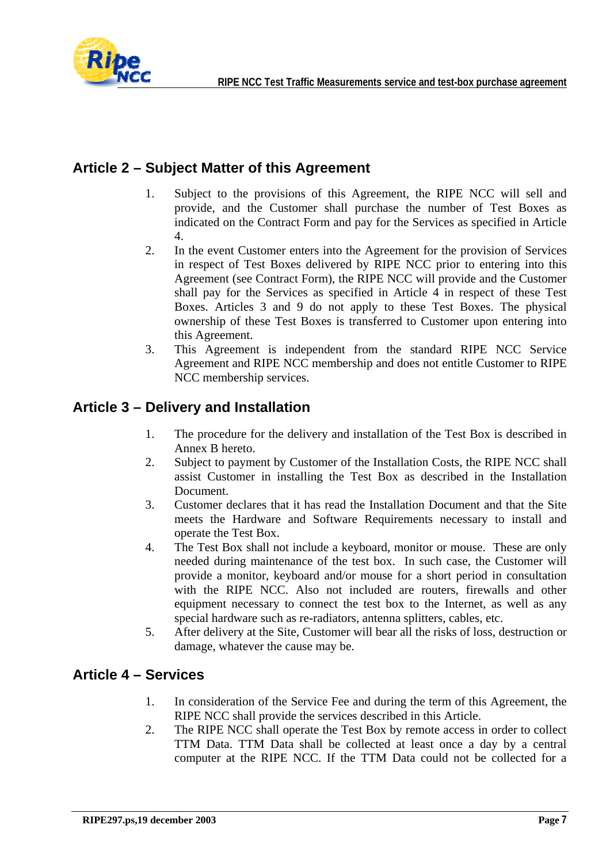

#### **Article 2 – Subject Matter of this Agreement**

- 1. Subject to the provisions of this Agreement, the RIPE NCC will sell and provide, and the Customer shall purchase the number of Test Boxes as indicated on the Contract Form and pay for the Services as specified in Article 4.
- 2. In the event Customer enters into the Agreement for the provision of Services in respect of Test Boxes delivered by RIPE NCC prior to entering into this Agreement (see Contract Form), the RIPE NCC will provide and the Customer shall pay for the Services as specified in Article 4 in respect of these Test Boxes. Articles 3 and 9 do not apply to these Test Boxes. The physical ownership of these Test Boxes is transferred to Customer upon entering into this Agreement.
- 3. This Agreement is independent from the standard RIPE NCC Service Agreement and RIPE NCC membership and does not entitle Customer to RIPE NCC membership services.

#### **Article 3 – Delivery and Installation**

- 1. The procedure for the delivery and installation of the Test Box is described in Annex B hereto.
- 2. Subject to payment by Customer of the Installation Costs, the RIPE NCC shall assist Customer in installing the Test Box as described in the Installation Document.
- 3. Customer declares that it has read the Installation Document and that the Site meets the Hardware and Software Requirements necessary to install and operate the Test Box.
- 4. The Test Box shall not include a keyboard, monitor or mouse. These are only needed during maintenance of the test box. In such case, the Customer will provide a monitor, keyboard and/or mouse for a short period in consultation with the RIPE NCC. Also not included are routers, firewalls and other equipment necessary to connect the test box to the Internet, as well as any special hardware such as re-radiators, antenna splitters, cables, etc.
- 5. After delivery at the Site, Customer will bear all the risks of loss, destruction or damage, whatever the cause may be.

#### **Article 4 – Services**

- 1. In consideration of the Service Fee and during the term of this Agreement, the RIPE NCC shall provide the services described in this Article.
- 2. The RIPE NCC shall operate the Test Box by remote access in order to collect TTM Data. TTM Data shall be collected at least once a day by a central computer at the RIPE NCC. If the TTM Data could not be collected for a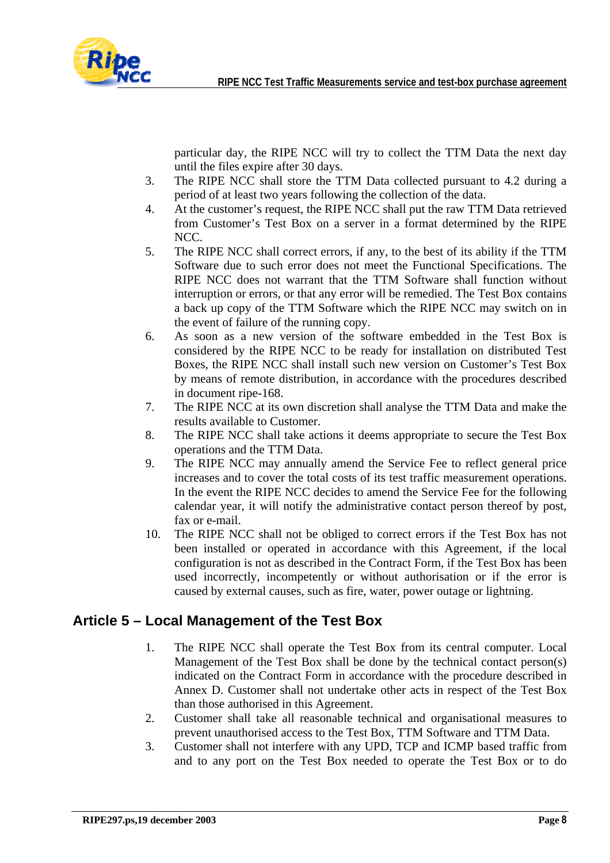

particular day, the RIPE NCC will try to collect the TTM Data the next day until the files expire after 30 days.

- 3. The RIPE NCC shall store the TTM Data collected pursuant to 4.2 during a period of at least two years following the collection of the data.
- 4. At the customer's request, the RIPE NCC shall put the raw TTM Data retrieved from Customer's Test Box on a server in a format determined by the RIPE NCC.
- 5. The RIPE NCC shall correct errors, if any, to the best of its ability if the TTM Software due to such error does not meet the Functional Specifications. The RIPE NCC does not warrant that the TTM Software shall function without interruption or errors, or that any error will be remedied. The Test Box contains a back up copy of the TTM Software which the RIPE NCC may switch on in the event of failure of the running copy.
- 6. As soon as a new version of the software embedded in the Test Box is considered by the RIPE NCC to be ready for installation on distributed Test Boxes, the RIPE NCC shall install such new version on Customer's Test Box by means of remote distribution, in accordance with the procedures described in document ripe-168.
- 7. The RIPE NCC at its own discretion shall analyse the TTM Data and make the results available to Customer.
- 8. The RIPE NCC shall take actions it deems appropriate to secure the Test Box operations and the TTM Data.
- 9. The RIPE NCC may annually amend the Service Fee to reflect general price increases and to cover the total costs of its test traffic measurement operations. In the event the RIPE NCC decides to amend the Service Fee for the following calendar year, it will notify the administrative contact person thereof by post, fax or e-mail.
- 10. The RIPE NCC shall not be obliged to correct errors if the Test Box has not been installed or operated in accordance with this Agreement, if the local configuration is not as described in the Contract Form, if the Test Box has been used incorrectly, incompetently or without authorisation or if the error is caused by external causes, such as fire, water, power outage or lightning.

#### **Article 5 – Local Management of the Test Box**

- 1. The RIPE NCC shall operate the Test Box from its central computer. Local Management of the Test Box shall be done by the technical contact person(s) indicated on the Contract Form in accordance with the procedure described in Annex D. Customer shall not undertake other acts in respect of the Test Box than those authorised in this Agreement.
- 2. Customer shall take all reasonable technical and organisational measures to prevent unauthorised access to the Test Box, TTM Software and TTM Data.
- 3. Customer shall not interfere with any UPD, TCP and ICMP based traffic from and to any port on the Test Box needed to operate the Test Box or to do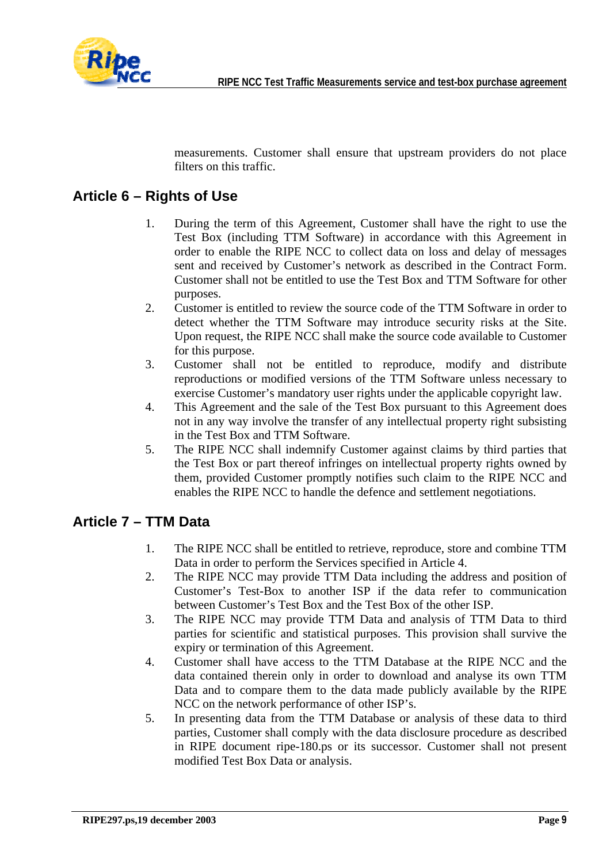

measurements. Customer shall ensure that upstream providers do not place filters on this traffic.

#### **Article 6 – Rights of Use**

- 1. During the term of this Agreement, Customer shall have the right to use the Test Box (including TTM Software) in accordance with this Agreement in order to enable the RIPE NCC to collect data on loss and delay of messages sent and received by Customer's network as described in the Contract Form. Customer shall not be entitled to use the Test Box and TTM Software for other purposes.
- 2. Customer is entitled to review the source code of the TTM Software in order to detect whether the TTM Software may introduce security risks at the Site. Upon request, the RIPE NCC shall make the source code available to Customer for this purpose.
- 3. Customer shall not be entitled to reproduce, modify and distribute reproductions or modified versions of the TTM Software unless necessary to exercise Customer's mandatory user rights under the applicable copyright law.
- 4. This Agreement and the sale of the Test Box pursuant to this Agreement does not in any way involve the transfer of any intellectual property right subsisting in the Test Box and TTM Software.
- 5. The RIPE NCC shall indemnify Customer against claims by third parties that the Test Box or part thereof infringes on intellectual property rights owned by them, provided Customer promptly notifies such claim to the RIPE NCC and enables the RIPE NCC to handle the defence and settlement negotiations.

#### **Article 7 – TTM Data**

- 1. The RIPE NCC shall be entitled to retrieve, reproduce, store and combine TTM Data in order to perform the Services specified in Article 4.
- 2. The RIPE NCC may provide TTM Data including the address and position of Customer's Test-Box to another ISP if the data refer to communication between Customer's Test Box and the Test Box of the other ISP.
- 3. The RIPE NCC may provide TTM Data and analysis of TTM Data to third parties for scientific and statistical purposes. This provision shall survive the expiry or termination of this Agreement.
- 4. Customer shall have access to the TTM Database at the RIPE NCC and the data contained therein only in order to download and analyse its own TTM Data and to compare them to the data made publicly available by the RIPE NCC on the network performance of other ISP's.
- 5. In presenting data from the TTM Database or analysis of these data to third parties, Customer shall comply with the data disclosure procedure as described in RIPE document ripe-180.ps or its successor. Customer shall not present modified Test Box Data or analysis.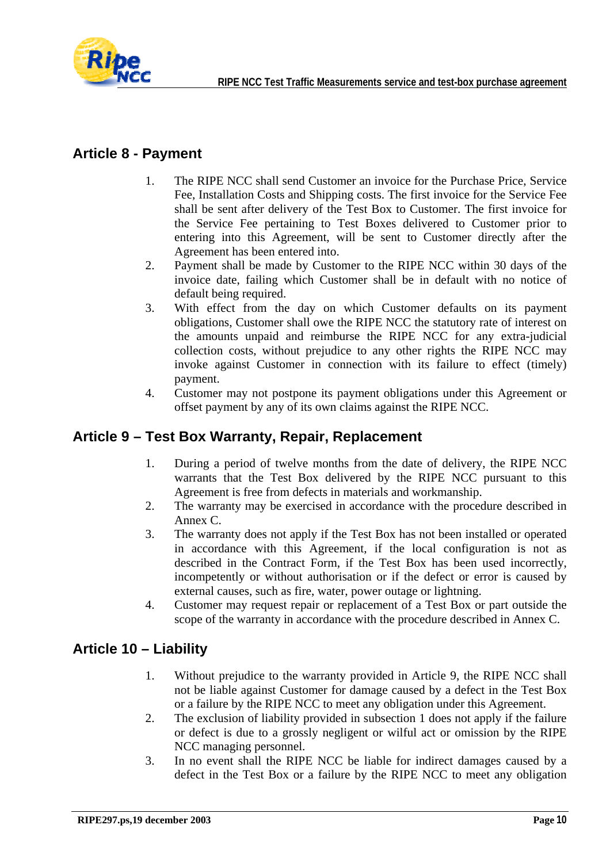

#### **Article 8 - Payment**

- 1. The RIPE NCC shall send Customer an invoice for the Purchase Price, Service Fee, Installation Costs and Shipping costs. The first invoice for the Service Fee shall be sent after delivery of the Test Box to Customer. The first invoice for the Service Fee pertaining to Test Boxes delivered to Customer prior to entering into this Agreement, will be sent to Customer directly after the Agreement has been entered into.
- 2. Payment shall be made by Customer to the RIPE NCC within 30 days of the invoice date, failing which Customer shall be in default with no notice of default being required.
- 3. With effect from the day on which Customer defaults on its payment obligations, Customer shall owe the RIPE NCC the statutory rate of interest on the amounts unpaid and reimburse the RIPE NCC for any extra-judicial collection costs, without prejudice to any other rights the RIPE NCC may invoke against Customer in connection with its failure to effect (timely) payment.
- 4. Customer may not postpone its payment obligations under this Agreement or offset payment by any of its own claims against the RIPE NCC.

#### **Article 9 – Test Box Warranty, Repair, Replacement**

- 1. During a period of twelve months from the date of delivery, the RIPE NCC warrants that the Test Box delivered by the RIPE NCC pursuant to this Agreement is free from defects in materials and workmanship.
- 2. The warranty may be exercised in accordance with the procedure described in Annex C.
- 3. The warranty does not apply if the Test Box has not been installed or operated in accordance with this Agreement, if the local configuration is not as described in the Contract Form, if the Test Box has been used incorrectly, incompetently or without authorisation or if the defect or error is caused by external causes, such as fire, water, power outage or lightning.
- 4. Customer may request repair or replacement of a Test Box or part outside the scope of the warranty in accordance with the procedure described in Annex C.

#### **Article 10 – Liability**

- 1. Without prejudice to the warranty provided in Article 9, the RIPE NCC shall not be liable against Customer for damage caused by a defect in the Test Box or a failure by the RIPE NCC to meet any obligation under this Agreement.
- 2. The exclusion of liability provided in subsection 1 does not apply if the failure or defect is due to a grossly negligent or wilful act or omission by the RIPE NCC managing personnel.
- 3. In no event shall the RIPE NCC be liable for indirect damages caused by a defect in the Test Box or a failure by the RIPE NCC to meet any obligation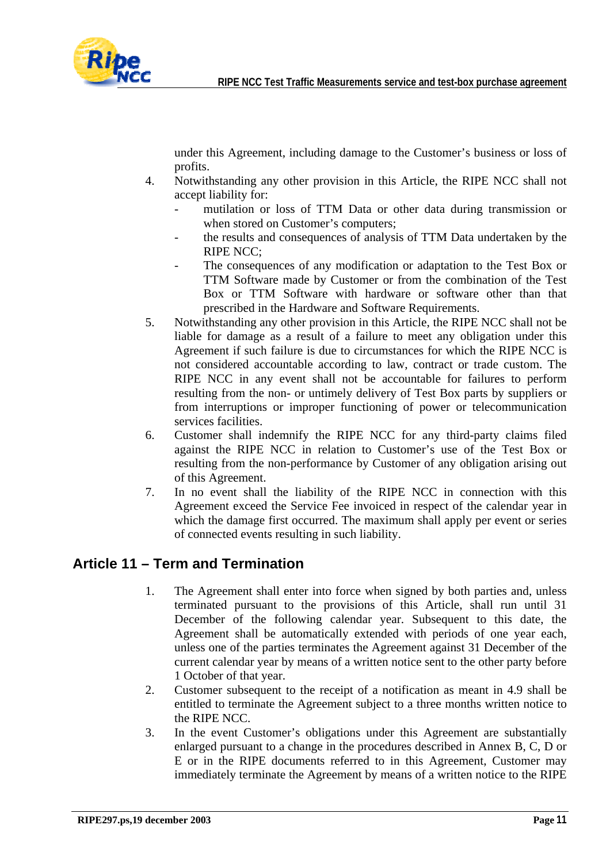

under this Agreement, including damage to the Customer's business or loss of profits.

- 4. Notwithstanding any other provision in this Article, the RIPE NCC shall not accept liability for:
	- mutilation or loss of TTM Data or other data during transmission or when stored on Customer's computers;
	- the results and consequences of analysis of TTM Data undertaken by the RIPE NCC;
	- The consequences of any modification or adaptation to the Test Box or TTM Software made by Customer or from the combination of the Test Box or TTM Software with hardware or software other than that prescribed in the Hardware and Software Requirements.
- 5. Notwithstanding any other provision in this Article, the RIPE NCC shall not be liable for damage as a result of a failure to meet any obligation under this Agreement if such failure is due to circumstances for which the RIPE NCC is not considered accountable according to law, contract or trade custom. The RIPE NCC in any event shall not be accountable for failures to perform resulting from the non- or untimely delivery of Test Box parts by suppliers or from interruptions or improper functioning of power or telecommunication services facilities.
- 6. Customer shall indemnify the RIPE NCC for any third-party claims filed against the RIPE NCC in relation to Customer's use of the Test Box or resulting from the non-performance by Customer of any obligation arising out of this Agreement.
- 7. In no event shall the liability of the RIPE NCC in connection with this Agreement exceed the Service Fee invoiced in respect of the calendar year in which the damage first occurred. The maximum shall apply per event or series of connected events resulting in such liability.

#### **Article 11 – Term and Termination**

- 1. The Agreement shall enter into force when signed by both parties and, unless terminated pursuant to the provisions of this Article, shall run until 31 December of the following calendar year. Subsequent to this date, the Agreement shall be automatically extended with periods of one year each, unless one of the parties terminates the Agreement against 31 December of the current calendar year by means of a written notice sent to the other party before 1 October of that year.
- 2. Customer subsequent to the receipt of a notification as meant in 4.9 shall be entitled to terminate the Agreement subject to a three months written notice to the RIPE NCC.
- 3. In the event Customer's obligations under this Agreement are substantially enlarged pursuant to a change in the procedures described in Annex B, C, D or E or in the RIPE documents referred to in this Agreement, Customer may immediately terminate the Agreement by means of a written notice to the RIPE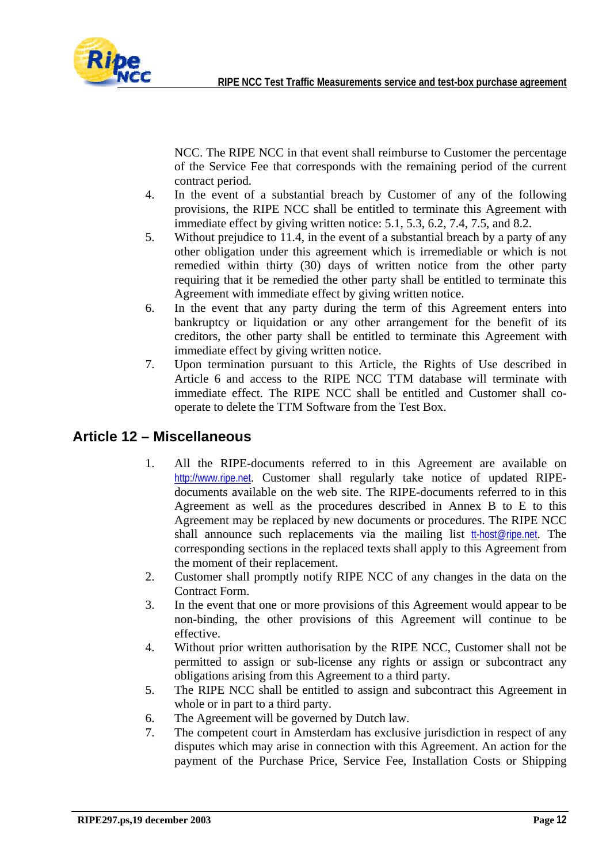

NCC. The RIPE NCC in that event shall reimburse to Customer the percentage of the Service Fee that corresponds with the remaining period of the current contract period.

- 4. In the event of a substantial breach by Customer of any of the following provisions, the RIPE NCC shall be entitled to terminate this Agreement with immediate effect by giving written notice: 5.1, 5.3, 6.2, 7.4, 7.5, and 8.2.
- 5. Without prejudice to 11.4, in the event of a substantial breach by a party of any other obligation under this agreement which is irremediable or which is not remedied within thirty (30) days of written notice from the other party requiring that it be remedied the other party shall be entitled to terminate this Agreement with immediate effect by giving written notice.
- 6. In the event that any party during the term of this Agreement enters into bankruptcy or liquidation or any other arrangement for the benefit of its creditors, the other party shall be entitled to terminate this Agreement with immediate effect by giving written notice.
- 7. Upon termination pursuant to this Article, the Rights of Use described in Article 6 and access to the RIPE NCC TTM database will terminate with immediate effect. The RIPE NCC shall be entitled and Customer shall cooperate to delete the TTM Software from the Test Box.

#### **Article 12 – Miscellaneous**

- 1. All the RIPE-documents referred to in this Agreement are available on [http://www.ripe.net](http://www.ripe.net/). Customer shall regularly take notice of updated RIPEdocuments available on the web site. The RIPE-documents referred to in this Agreement as well as the procedures described in Annex B to E to this Agreement may be replaced by new documents or procedures. The RIPE NCC shall announce such replacements via the mailing list [tt-host@ripe.net](mailto:tt-host@ripe.net). The corresponding sections in the replaced texts shall apply to this Agreement from the moment of their replacement.
- 2. Customer shall promptly notify RIPE NCC of any changes in the data on the Contract Form.
- 3. In the event that one or more provisions of this Agreement would appear to be non-binding, the other provisions of this Agreement will continue to be effective.
- 4. Without prior written authorisation by the RIPE NCC, Customer shall not be permitted to assign or sub-license any rights or assign or subcontract any obligations arising from this Agreement to a third party.
- 5. The RIPE NCC shall be entitled to assign and subcontract this Agreement in whole or in part to a third party.
- 6. The Agreement will be governed by Dutch law.
- 7. The competent court in Amsterdam has exclusive jurisdiction in respect of any disputes which may arise in connection with this Agreement. An action for the payment of the Purchase Price, Service Fee, Installation Costs or Shipping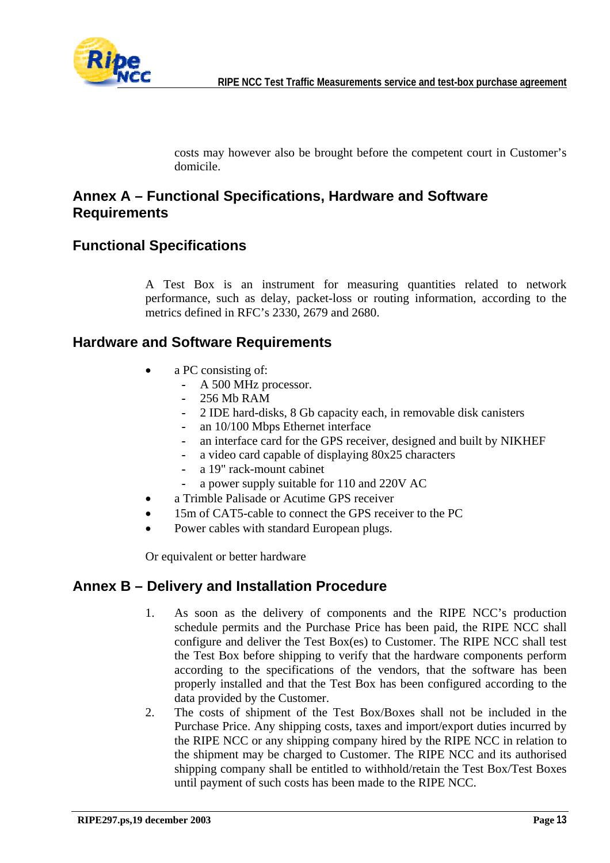

costs may however also be brought before the competent court in Customer's domicile.

#### **Annex A – Functional Specifications, Hardware and Software Requirements**

#### **Functional Specifications**

A Test Box is an instrument for measuring quantities related to network performance, such as delay, packet-loss or routing information, according to the metrics defined in RFC's 2330, 2679 and 2680.

#### **Hardware and Software Requirements**

- a PC consisting of:
	- A 500 MHz processor.
	- 256 Mb RAM
	- 2 IDE hard-disks, 8 Gb capacity each, in removable disk canisters
	- an 10/100 Mbps Ethernet interface
	- an interface card for the GPS receiver, designed and built by NIKHEF
	- a video card capable of displaying 80x25 characters
	- a 19" rack-mount cabinet
	- a power supply suitable for 110 and 220V AC
- a Trimble Palisade or Acutime GPS receiver
- 15m of CAT5-cable to connect the GPS receiver to the PC
- Power cables with standard European plugs.

Or equivalent or better hardware

#### **Annex B – Delivery and Installation Procedure**

- 1. As soon as the delivery of components and the RIPE NCC's production schedule permits and the Purchase Price has been paid, the RIPE NCC shall configure and deliver the Test Box(es) to Customer. The RIPE NCC shall test the Test Box before shipping to verify that the hardware components perform according to the specifications of the vendors, that the software has been properly installed and that the Test Box has been configured according to the data provided by the Customer.
- 2. The costs of shipment of the Test Box/Boxes shall not be included in the Purchase Price. Any shipping costs, taxes and import/export duties incurred by the RIPE NCC or any shipping company hired by the RIPE NCC in relation to the shipment may be charged to Customer. The RIPE NCC and its authorised shipping company shall be entitled to withhold/retain the Test Box/Test Boxes until payment of such costs has been made to the RIPE NCC.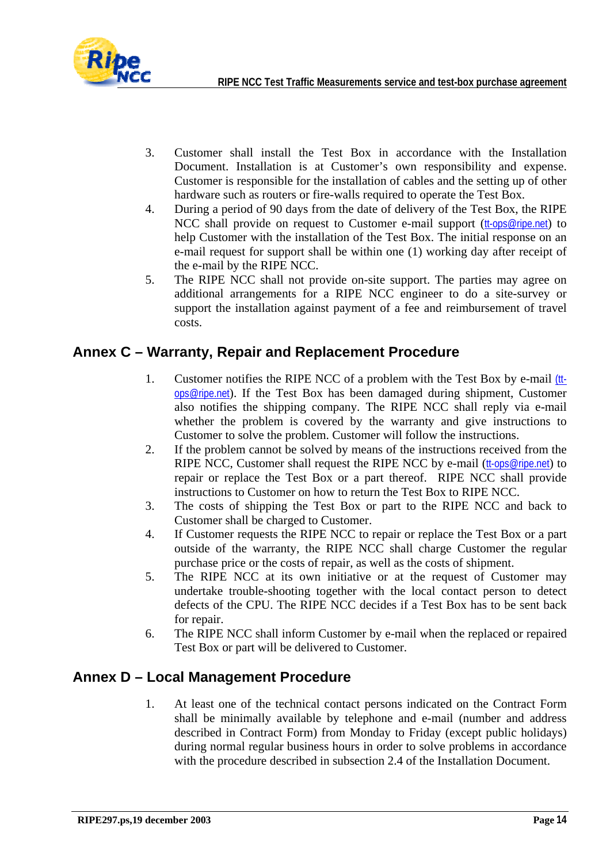

- 3. Customer shall install the Test Box in accordance with the Installation Document. Installation is at Customer's own responsibility and expense. Customer is responsible for the installation of cables and the setting up of other hardware such as routers or fire-walls required to operate the Test Box.
- 4. During a period of 90 days from the date of delivery of the Test Box, the RIPE NCC shall provide on request to Customer e-mail support ([tt-ops@ripe.net](mailto:tt-ops@ripe.net)) to help Customer with the installation of the Test Box. The initial response on an e-mail request for support shall be within one (1) working day after receipt of the e-mail by the RIPE NCC.
- 5. The RIPE NCC shall not provide on-site support. The parties may agree on additional arrangements for a RIPE NCC engineer to do a site-survey or support the installation against payment of a fee and reimbursement of travel costs.

#### **Annex C – Warranty, Repair and Replacement Procedure**

- 1. Customer notifies the RIPE NCC of a problem with the Test Box by e-mail [\(tt](mailto:tt-ops@ripe.net)[ops@ripe.net](mailto:tt-ops@ripe.net)). If the Test Box has been damaged during shipment, Customer also notifies the shipping company. The RIPE NCC shall reply via e-mail whether the problem is covered by the warranty and give instructions to Customer to solve the problem. Customer will follow the instructions.
- 2. If the problem cannot be solved by means of the instructions received from the RIPE NCC, Customer shall request the RIPE NCC by e-mail ([tt-ops@ripe.net](mailto:tt-ops@ripe.net)) to repair or replace the Test Box or a part thereof. RIPE NCC shall provide instructions to Customer on how to return the Test Box to RIPE NCC.
- 3. The costs of shipping the Test Box or part to the RIPE NCC and back to Customer shall be charged to Customer.
- 4. If Customer requests the RIPE NCC to repair or replace the Test Box or a part outside of the warranty, the RIPE NCC shall charge Customer the regular purchase price or the costs of repair, as well as the costs of shipment.
- 5. The RIPE NCC at its own initiative or at the request of Customer may undertake trouble-shooting together with the local contact person to detect defects of the CPU. The RIPE NCC decides if a Test Box has to be sent back for repair.
- 6. The RIPE NCC shall inform Customer by e-mail when the replaced or repaired Test Box or part will be delivered to Customer.

#### **Annex D – Local Management Procedure**

1. At least one of the technical contact persons indicated on the Contract Form shall be minimally available by telephone and e-mail (number and address described in Contract Form) from Monday to Friday (except public holidays) during normal regular business hours in order to solve problems in accordance with the procedure described in subsection 2.4 of the Installation Document.